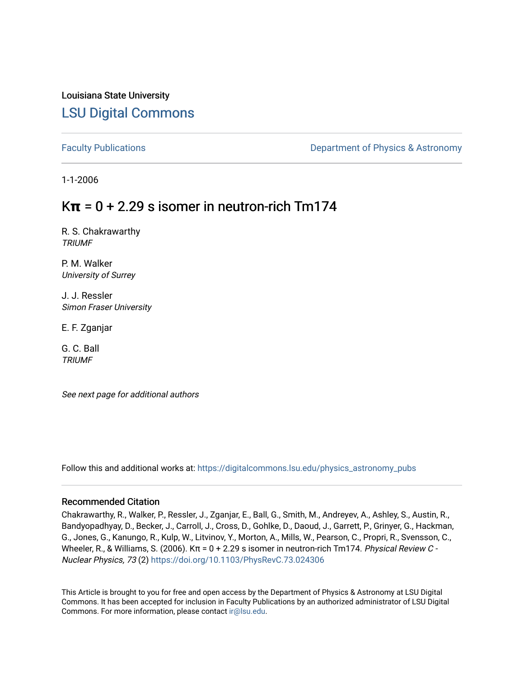Louisiana State University [LSU Digital Commons](https://digitalcommons.lsu.edu/)

[Faculty Publications](https://digitalcommons.lsu.edu/physics_astronomy_pubs) **Exercise 2 and Table 2 and Table 2 and Table 2 and Table 2 and Table 2 and Table 2 and Table 2 and Table 2 and Table 2 and Table 2 and Table 2 and Table 2 and Table 2 and Table 2 and Table 2 and Table** 

1-1-2006

# $K\pi$  = 0 + 2.29 s isomer in neutron-rich Tm174

R. S. Chakrawarthy **TRIUMF** 

P. M. Walker University of Surrey

J. J. Ressler Simon Fraser University

E. F. Zganjar

G. C. Ball **TRIUMF** 

See next page for additional authors

Follow this and additional works at: [https://digitalcommons.lsu.edu/physics\\_astronomy\\_pubs](https://digitalcommons.lsu.edu/physics_astronomy_pubs?utm_source=digitalcommons.lsu.edu%2Fphysics_astronomy_pubs%2F6123&utm_medium=PDF&utm_campaign=PDFCoverPages) 

## Recommended Citation

Chakrawarthy, R., Walker, P., Ressler, J., Zganjar, E., Ball, G., Smith, M., Andreyev, A., Ashley, S., Austin, R., Bandyopadhyay, D., Becker, J., Carroll, J., Cross, D., Gohlke, D., Daoud, J., Garrett, P., Grinyer, G., Hackman, G., Jones, G., Kanungo, R., Kulp, W., Litvinov, Y., Morton, A., Mills, W., Pearson, C., Propri, R., Svensson, C., Wheeler, R., & Williams, S. (2006).  $K\pi$  = 0 + 2.29 s isomer in neutron-rich Tm174. Physical Review C -Nuclear Physics, 73 (2) <https://doi.org/10.1103/PhysRevC.73.024306>

This Article is brought to you for free and open access by the Department of Physics & Astronomy at LSU Digital Commons. It has been accepted for inclusion in Faculty Publications by an authorized administrator of LSU Digital Commons. For more information, please contact [ir@lsu.edu](mailto:ir@lsu.edu).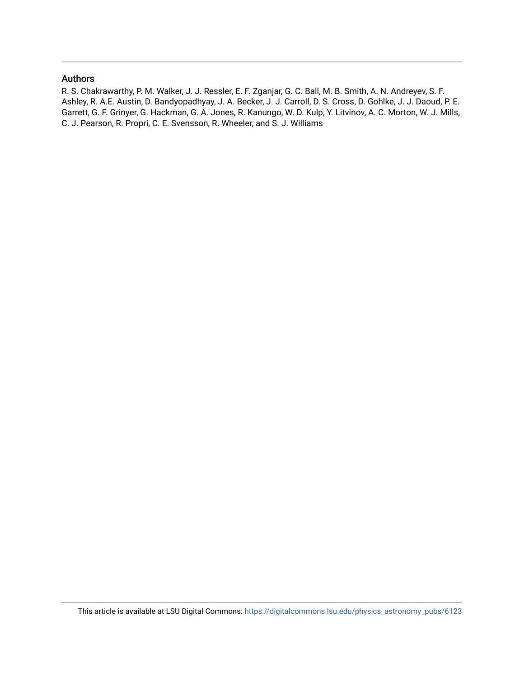# Authors

R. S. Chakrawarthy, P. M. Walker, J. J. Ressler, E. F. Zganjar, G. C. Ball, M. B. Smith, A. N. Andreyev, S. F. Ashley, R. A.E. Austin, D. Bandyopadhyay, J. A. Becker, J. J. Carroll, D. S. Cross, D. Gohlke, J. J. Daoud, P. E. Garrett, G. F. Grinyer, G. Hackman, G. A. Jones, R. Kanungo, W. D. Kulp, Y. Litvinov, A. C. Morton, W. J. Mills, C. J. Pearson, R. Propri, C. E. Svensson, R. Wheeler, and S. J. Williams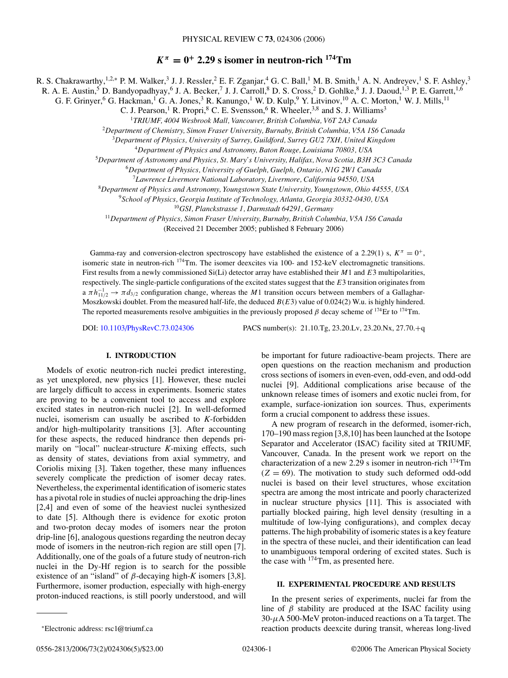$K^{\pi} = 0^+$  **2.29 s isomer in neutron-rich** <sup>174</sup>Tm

R. S. Chakrawarthy,<sup>1,2,∗</sup> P. M. Walker,<sup>3</sup> J. J. Ressler,<sup>2</sup> E. F. Zganjar,<sup>4</sup> G. C. Ball,<sup>1</sup> M. B. Smith,<sup>1</sup> A. N. Andreyev,<sup>1</sup> S. F. Ashley,<sup>3</sup>

R. A. E. Austin,<sup>5</sup> D. Bandyopadhyay,<sup>6</sup> J. A. Becker,<sup>7</sup> J. J. Carroll,<sup>8</sup> D. S. Cross,<sup>2</sup> D. Gohlke,<sup>8</sup> J. J. Daoud,<sup>1,3</sup> P. E. Garrett,<sup>1,6</sup>

G. F. Grinyer,<sup>6</sup> G. Hackman,<sup>1</sup> G. A. Jones,<sup>3</sup> R. Kanungo,<sup>1</sup> W. D. Kulp,<sup>9</sup> Y. Litvinov,<sup>10</sup> A. C. Morton,<sup>1</sup> W. J. Mills,<sup>11</sup>

C. J. Pearson,<sup>1</sup> R. Propri,<sup>8</sup> C. E. Svensson,<sup>6</sup> R. Wheeler,<sup>3,8</sup> and S. J. Williams<sup>3</sup>

<sup>2</sup>*Department of Chemistry, Simon Fraser University, Burnaby, British Columbia, V5A 1S6 Canada*

<sup>3</sup>*Department of Physics, University of Surrey, Guildford, Surrey GU2 7XH, United Kingdom*

<sup>4</sup>*Department of Physics and Astronomy, Baton Rouge, Louisiana 70803, USA*

<sup>5</sup>*Department of Astronomy and Physics, St. Mary's University, Halifax, Nova Scotia, B3H 3C3 Canada*

<sup>6</sup>*Department of Physics, University of Guelph, Guelph, Ontario, N1G 2W1 Canada*

<sup>7</sup>*Lawrence Livermore National Laboratory, Livermore, California 94550, USA*

<sup>8</sup>*Department of Physics and Astronomy, Youngstown State University, Youngstown, Ohio 44555, USA*

<sup>9</sup>*School of Physics, Georgia Institute of Technology, Atlanta, Georgia 30332-0430, USA*

<sup>10</sup>*GSI, Planckstrasse 1, Darmstadt 64291, Germany*

<sup>11</sup>*Department of Physics, Simon Fraser University, Burnaby, British Columbia, V5A 1S6 Canada*

(Received 21 December 2005; published 8 February 2006)

Gamma-ray and conversion-electron spectroscopy have established the existence of a 2.29(1) s,  $K^{\pi} = 0^{+}$ , isomeric state in neutron-rich  $^{174}$ Tm. The isomer deexcites via 100- and 152-keV electromagnetic transitions. First results from a newly commissioned Si(Li) detector array have established their *M*1 and *E*3 multipolarities, respectively. The single-particle configurations of the excited states suggest that the *E*3 transition originates from  $a \pi h_{11/2}^{-1} \to \pi d_{3/2}$  configuration change, whereas the *M*1 transition occurs between members of a Gallaghar-Moszkowski doublet. From the measured half-life, the deduced  $B(E3)$  value of 0.024(2) W.u. is highly hindered. The reported measurements resolve ambiguities in the previously proposed  $\beta$  decay scheme of <sup>174</sup>Er to <sup>174</sup>Tm.

DOI: [10.1103/PhysRevC.73.024306](http://dx.doi.org/10.1103/PhysRevC.73.024306) PACS number(s): 21.10.Tg, 23.20.Lv, 23.20.Nx, 27.70.+q

## **I. INTRODUCTION**

Models of exotic neutron-rich nuclei predict interesting, as yet unexplored, new physics [1]. However, these nuclei are largely difficult to access in experiments. Isomeric states are proving to be a convenient tool to access and explore excited states in neutron-rich nuclei [2]. In well-deformed nuclei, isomerism can usually be ascribed to *K*-forbidden and/or high-multipolarity transitions [3]. After accounting for these aspects, the reduced hindrance then depends primarily on "local" nuclear-structure *K*-mixing effects, such as density of states, deviations from axial symmetry, and Coriolis mixing [3]. Taken together, these many influences severely complicate the prediction of isomer decay rates. Nevertheless, the experimental identification of isomeric states has a pivotal role in studies of nuclei approaching the drip-lines [2,4] and even of some of the heaviest nuclei synthesized to date [5]. Although there is evidence for exotic proton and two-proton decay modes of isomers near the proton drip-line [6], analogous questions regarding the neutron decay mode of isomers in the neutron-rich region are still open [7]. Additionally, one of the goals of a future study of neutron-rich nuclei in the Dy-Hf region is to search for the possible existence of an "island" of *β*-decaying high-*K* isomers [3,8]. Furthermore, isomer production, especially with high-energy proton-induced reactions, is still poorly understood, and will

be important for future radioactive-beam projects. There are open questions on the reaction mechanism and production cross sections of isomers in even-even, odd-even, and odd-odd nuclei [9]. Additional complications arise because of the unknown release times of isomers and exotic nuclei from, for example, surface-ionization ion sources. Thus, experiments form a crucial component to address these issues.

A new program of research in the deformed, isomer-rich, 170–190 mass region [3,8,10] has been launched at the Isotope Separator and Accelerator (ISAC) facility sited at TRIUMF, Vancouver, Canada. In the present work we report on the characterization of a new 2.29 s isomer in neutron-rich 174Tm  $(Z = 69)$ . The motivation to study such deformed odd-odd nuclei is based on their level structures, whose excitation spectra are among the most intricate and poorly characterized in nuclear structure physics [11]. This is associated with partially blocked pairing, high level density (resulting in a multitude of low-lying configurations), and complex decay patterns. The high probability of isomeric states is a key feature in the spectra of these nuclei, and their identification can lead to unambiguous temporal ordering of excited states. Such is the case with  $174$ Tm, as presented here.

### **II. EXPERIMENTAL PROCEDURE AND RESULTS**

In the present series of experiments, nuclei far from the line of  $\beta$  stability are produced at the ISAC facility using 30-*µ*A 500-MeV proton-induced reactions on a Ta target. The reaction products deexcite during transit, whereas long-lived

<sup>1</sup>*TRIUMF, 4004 Wesbrook Mall, Vancouver, British Columbia, V6T 2A3 Canada*

<sup>∗</sup>Electronic address: rsc1@triumf.ca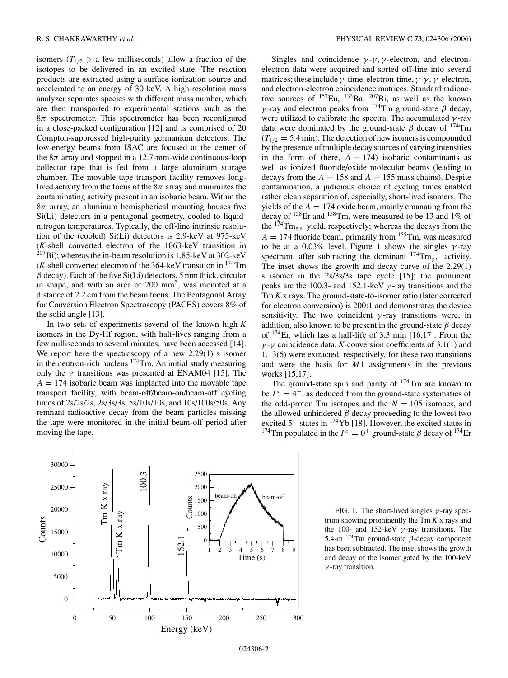isomers ( $T_{1/2} \ge a$  few milliseconds) allow a fraction of the isotopes to be delivered in an excited state. The reaction products are extracted using a surface ionization source and accelerated to an energy of 30 keV. A high-resolution mass analyzer separates species with different mass number, which are then transported to experimental stations such as the 8*π* spectrometer. This spectrometer has been reconfigured in a close-packed configuration [12] and is comprised of 20 Compton-suppressed high-purity germanium detectors. The low-energy beams from ISAC are focused at the center of the  $8\pi$  array and stopped in a 12.7-mm-wide continuous-loop collector tape that is fed from a large aluminum storage chamber. The movable tape transport facility removes longlived activity from the focus of the  $8\pi$  array and minimizes the contaminating activity present in an isobaric beam. Within the 8*π* array, an aluminum hemispherical mounting houses five Si(Li) detectors in a pentagonal geometry, cooled to liquidnitrogen temperatures. Typically, the off-line intrinsic resolution of the (cooled) Si(Li) detectors is 2.9-keV at 975-keV (*K*-shell converted electron of the 1063-keV transition in  $207B$ i); whereas the in-beam resolution is 1.85-keV at 302-keV  $(K$ -shell converted electron of the 364-keV transition in  $174$ Tm  $\beta$  decay). Each of the five Si(Li) detectors, 5 mm thick, circular in shape, and with an area of 200 mm<sup>2</sup>, was mounted at a distance of 2.2 cm from the beam focus. The Pentagonal Array for Conversion Electron Spectroscopy (PACES) covers 8% of the solid angle [13].

In two sets of experiments several of the known high-*K* isomers in the Dy-Hf region, with half-lives ranging from a few milliseconds to several minutes, have been accessed [14]. We report here the spectroscopy of a new 2.29(1) s isomer in the neutron-rich nucleus  $174$ Tm. An initial study measuring only the *γ* transitions was presented at ENAM04 [15]. The  $A = 174$  isobaric beam was implanted into the movable tape transport facility, with beam-off/beam-on/beam-off cycling times of 2s/2s/2s, 2s/3s/3s, 5s/10s/10s, and 10s/100s/50s. Any remnant radioactive decay from the beam particles missing the tape were monitored in the initial beam-off period after moving the tape.

Singles and coincidence  $\gamma$ - $\gamma$ ,  $\gamma$ -electron, and electronelectron data were acquired and sorted off-line into several matrices; these include  $\gamma$ -time, electron-time,  $\gamma$ - $\gamma$ ,  $\gamma$ -electron, and electron-electron coincidence matrices. Standard radioactive sources of  $^{152}$ Eu,  $^{133}$ Ba,  $^{207}$ Bi, as well as the known *γ* -ray and electron peaks from  $174$ Tm ground-state *β* decay, were utilized to calibrate the spectra. The accumulated *γ* -ray data were dominated by the ground-state  $\beta$  decay of <sup>174</sup>Tm  $(T_{1/2} = 5.4 \text{ min})$ . The detection of new isomers is compounded by the presence of multiple decay sources of varying intensities in the form of (here,  $A = 174$ ) isobaric contaminants as well as ionized fluoride/oxide molecular beams (leading to decays from the  $A = 158$  and  $A = 155$  mass chains). Despite contamination, a judicious choice of cycling times enabled rather clean separation of, especially, short-lived isomers. The yields of the  $A = 174$  oxide beam, mainly emanating from the decay of 158Er and 158Tm, were measured to be 13 and 1% of the 174Tmg*.*s*.* yield, respectively; whereas the decays from the  $A = 174$  fluoride beam, primarily from  $155$ Tm, was measured to be at a 0.03% level. Figure 1 shows the singles *γ* -ray spectrum, after subtracting the dominant <sup>174</sup>Tm<sub>g,s</sub><sup>2</sup> activity. The inset shows the growth and decay curve of the 2.29(1) s isomer in the 2s/3s/3s tape cycle [15]; the prominent peaks are the 100.3- and 152.1-keV *γ* -ray transitions and the Tm *K* x rays. The ground-state-to-isomer ratio (later corrected for electron conversion) is 200:1 and demonstrates the device sensitivity. The two coincident *γ* -ray transitions were, in addition, also known to be present in the ground-state *β* decay of 174Er, which has a half-life of 3.3 min [16,17]. From the *γ* -*γ* coincidence data, *K*-conversion coefficients of 3.1(1) and 1.13(6) were extracted, respectively, for these two transitions and were the basis for *M*1 assignments in the previous works [15,17].

The ground-state spin and parity of  $174$ Tm are known to be  $I^{\pi} = 4^-$ , as deduced from the ground-state systematics of the odd-proton Tm isotopes and the  $N = 105$  isotones, and the allowed-unhindered  $\beta$  decay proceeding to the lowest two excited 5<sup>−</sup> states in 174Yb [18]. However, the excited states in <sup>174</sup>Tm populated in the  $I^{\pi} = 0^{+}$  ground-state  $\beta$  decay of <sup>174</sup>Er



FIG. 1. The short-lived singles *γ* -ray spectrum showing prominently the Tm *K* x rays and the 100- and 152-keV *γ* -ray transitions. The 5.4-m 174Tm ground-state *β*-decay component has been subtracted. The inset shows the growth and decay of the isomer gated by the 100-keV *γ* -ray transition.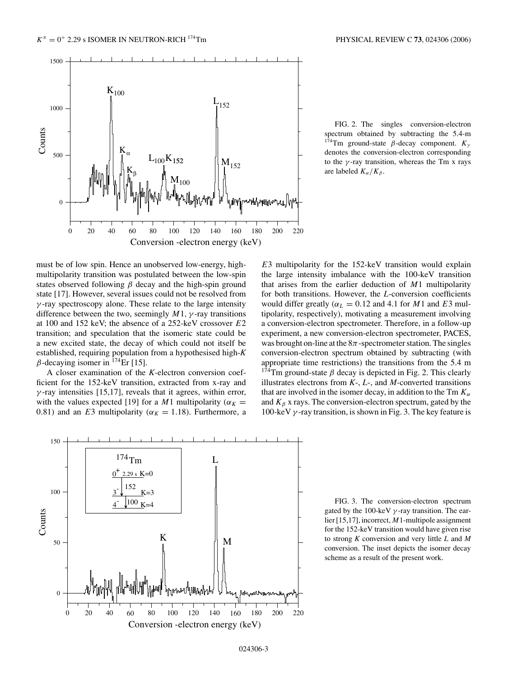

FIG. 2. The singles conversion-electron spectrum obtained by subtracting the 5.4-m 174Tm ground-state *β*-decay component. *Kγ* denotes the conversion-electron corresponding to the *γ* -ray transition, whereas the Tm x rays are labeled  $K_{\alpha}/K_{\beta}$ .

must be of low spin. Hence an unobserved low-energy, highmultipolarity transition was postulated between the low-spin states observed following *β* decay and the high-spin ground state [17]. However, several issues could not be resolved from *γ* -ray spectroscopy alone. These relate to the large intensity difference between the two, seemingly *M*1*, γ* -ray transitions at 100 and 152 keV; the absence of a 252-keV crossover *E*2 transition; and speculation that the isomeric state could be a new excited state, the decay of which could not itself be established, requiring population from a hypothesised high-*K*  $\beta$ -decaying isomer in <sup>174</sup>Er [15].

A closer examination of the *K*-electron conversion coefficient for the 152-keV transition, extracted from x-ray and  $\gamma$ -ray intensities [15,17], reveals that it agrees, within error, with the values expected [19] for a *M*1 multipolarity ( $\alpha_K =$ 0.81) and an *E*3 multipolarity ( $\alpha_K = 1.18$ ). Furthermore, a

*E*3 multipolarity for the 152-keV transition would explain the large intensity imbalance with the 100-keV transition that arises from the earlier deduction of *M*1 multipolarity for both transitions. However, the *L*-conversion coefficients would differ greatly ( $\alpha_L = 0.12$  and 4.1 for *M*1 and *E*3 multipolarity, respectively), motivating a measurement involving a conversion-electron spectrometer. Therefore, in a follow-up experiment, a new conversion-electron spectrometer, PACES, was brought on-line at the  $8\pi$ -spectrometer station. The singles conversion-electron spectrum obtained by subtracting (with appropriate time restrictions) the transitions from the 5.4 m <sup>174</sup>Tm ground-state  $\beta$  decay is depicted in Fig. 2. This clearly illustrates electrons from *K*-, *L*-, and *M*-converted transitions that are involved in the isomer decay, in addition to the Tm  $K_{\alpha}$ and  $K_\beta$  x rays. The conversion-electron spectrum, gated by the 100-keV *γ* -ray transition, is shown in Fig. 3. The key feature is



FIG. 3. The conversion-electron spectrum gated by the 100-keV *γ* -ray transition. The earlier [15,17], incorrect, *M*1-multipole assignment for the 152-keV transition would have given rise to strong *K* conversion and very little *L* and *M* conversion. The inset depicts the isomer decay scheme as a result of the present work.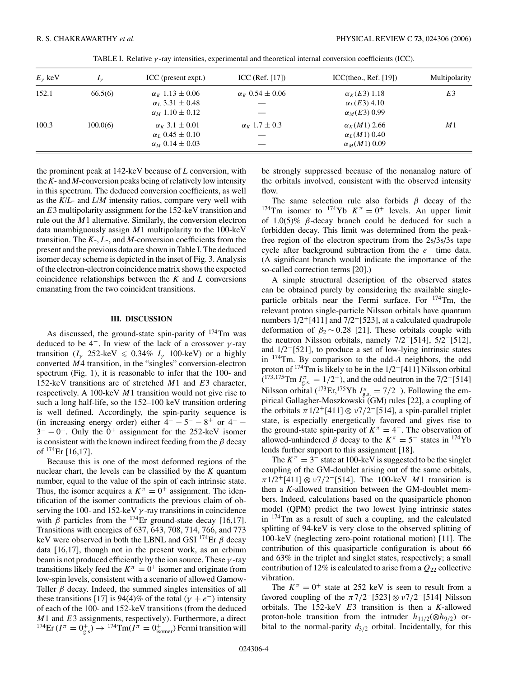| $E_{\nu}$ keV | $I_{\mathcal{V}}$ | ICC (present expt.)                                                                 | ICC (Ref. $[17]$ )       | ICC(theo., Ref. [19])                                             | Multipolarity |
|---------------|-------------------|-------------------------------------------------------------------------------------|--------------------------|-------------------------------------------------------------------|---------------|
| 152.1         | 66.5(6)           | $\alpha_K$ 1.13 $\pm$ 0.06<br>$\alpha_L$ 3.31 $\pm$ 0.48                            | $\alpha_K 0.54 \pm 0.06$ | $\alpha_K$ ( <i>E</i> 3) 1.18<br>$\alpha_L(E3)$ 4.10              | E3            |
|               |                   | $\alpha_M$ 1.10 $\pm$ 0.12                                                          |                          | $\alpha_M(E3)$ 0.99                                               |               |
| 100.3         | 100.0(6)          | $\alpha_K 3.1 \pm 0.01$<br>$\alpha_L$ 0.45 $\pm$ 0.10<br>$\alpha_M$ 0.14 $\pm$ 0.03 | $\alpha_K$ 1.7 $\pm$ 0.3 | $\alpha_K(M1)$ 2.66<br>$\alpha_L(M1)$ 0.40<br>$\alpha_M(M1)$ 0.09 | M1            |

TABLE I. Relative *γ* -ray intensities, experimental and theoretical internal conversion coefficients (ICC).

the prominent peak at 142-keV because of *L* conversion, with the*K*- and *M*-conversion peaks being of relatively low intensity in this spectrum. The deduced conversion coefficients, as well as the *K/L*- and *L/M* intensity ratios, compare very well with an *E*3 multipolarity assignment for the 152-keV transition and rule out the *M*1 alternative. Similarly, the conversion electron data unambiguously assign *M*1 multipolarity to the 100-keV transition. The *K*-, *L*-, and *M*-conversion coefficients from the present and the previous data are shown in Table I. The deduced isomer decay scheme is depicted in the inset of Fig. 3. Analysis of the electron-electron coincidence matrix shows the expected coincidence relationships between the *K* and *L* conversions emanating from the two coincident transitions.

### **III. DISCUSSION**

As discussed, the ground-state spin-parity of  $174$ Tm was deduced to be  $4^-$ . In view of the lack of a crossover  $\gamma$ -ray transition ( $I_\gamma$  252-keV  $\leqslant$  0.34%  $I_\gamma$  100-keV) or a highly converted *M*4 transition, in the "singles" conversion-electron spectrum (Fig. 1), it is reasonable to infer that the 100- and 152-keV transitions are of stretched *M*1 and *E*3 character, respectively. A 100-keV *M*1 transition would not give rise to such a long half-life, so the 152–100 keV transition ordering is well defined. Accordingly, the spin-parity sequence is (in increasing energy order) either  $4^- - 5^- - 8^+$  or  $4^- 3^- - 0^+$ . Only the  $0^+$  assignment for the 252-keV isomer is consistent with the known indirect feeding from the *β* decay of  $^{174}$ Er [16,17].

Because this is one of the most deformed regions of the nuclear chart, the levels can be classified by the *K* quantum number, equal to the value of the spin of each intrinsic state. Thus, the isomer acquires a  $K^{\pi} = 0^{+}$  assignment. The identification of the isomer contradicts the previous claim of observing the 100- and 152-keV *γ* -ray transitions in coincidence with  $\beta$  particles from the <sup>174</sup>Er ground-state decay [16,17]. Transitions with energies of 637, 643, 708, 714, 766, and 773 keV were observed in both the LBNL and GSI 174Er *β* decay data [16,17], though not in the present work, as an erbium beam is not produced efficiently by the ion source. These *γ* -ray transitions likely feed the  $K^{\pi} = 0^{+}$  isomer and originate from low-spin levels, consistent with a scenario of allowed Gamow-Teller *β* decay. Indeed, the summed singles intensities of all these transitions [17] is 94(4)% of the total ( $\gamma + e^-$ ) intensity of each of the 100- and 152-keV transitions (from the deduced *M*1 and *E*3 assignments, respectively). Furthermore, a direct  $^{174}\text{Er}(I^{\pi} = 0^+_{\text{g.s}}) \rightarrow ^{174}\text{Tm}(I^{\pi} = 0^+_{\text{isomer}})$  Fermi transition will

be strongly suppressed because of the nonanalog nature of the orbitals involved, consistent with the observed intensity flow.

The same selection rule also forbids *β* decay of the <sup>174</sup>Tm isomer to <sup>174</sup>Yb  $K^{\pi} = 0^{+}$  levels. An upper limit of 1.0(5)% *β*-decay branch could be deduced for such a forbidden decay. This limit was determined from the peakfree region of the electron spectrum from the 2s/3s/3s tape cycle after background subtraction from the *e*<sup>−</sup> time data. (A significant branch would indicate the importance of the so-called correction terms [20].)

A simple structural description of the observed states can be obtained purely by considering the available singleparticle orbitals near the Fermi surface. For 174Tm, the relevant proton single-particle Nilsson orbitals have quantum numbers 1/2<sup>+</sup>[411] and 7/2<sup>-</sup>[523], at a calculated quadrupole deformation of  $\beta_2 \sim 0.28$  [21]. These orbitals couple with the neutron Nilsson orbitals, namely 7/2−[514], 5/2−[512], and 1/2−[521], to produce a set of low-lying intrinsic states in 174Tm. By comparison to the odd-*A* neighbors, the odd proton of  $174$ Tm is likely to be in the  $1/2$ <sup>+</sup>[411] Nilsson orbital ( <sup>173</sup>*,*175Tm *I <sup>π</sup>* <sup>g</sup>*.*s*.* = 1*/*2+), and the odd neutron in the 7/2−[514] Nilsson orbital (<sup>173</sup>Er,<sup>175</sup>Yb  $I_{gs.}^{\pi} = 7/2^-$ ). Following the empirical Gallagher-Moszkowski (GM) rules [22], a coupling of the orbitals  $\pi$ 1/2<sup>+</sup>[411] ⊗  $\nu$ 7/2<sup>-</sup>[514], a spin-parallel triplet state, is especially energetically favored and gives rise to the ground-state spin-parity of  $K^{\pi} = 4^{-}$ . The observation of allowed-unhindered  $\beta$  decay to the  $K^{\pi} = 5^{-}$  states in <sup>174</sup>Yb lends further support to this assignment [18].

The  $K^{\pi} = 3^-$  state at 100-keV is suggested to be the singlet coupling of the GM-doublet arising out of the same orbitals, *π*1/2+[411] ⊗ *ν*7*/*2−[514]. The 100-keV *M*1 transition is then a *K*-allowed transition between the GM-doublet members. Indeed, calculations based on the quasiparticle phonon model (QPM) predict the two lowest lying intrinsic states in 174Tm as a result of such a coupling, and the calculated splitting of 94-keV is very close to the observed splitting of 100-keV (neglecting zero-point rotational motion) [11]. The contribution of this quasiparticle configuration is about 66 and 63% in the triplet and singlet states, respectively; a small contribution of 12% is calculated to arise from a *Q*<sup>22</sup> collective vibration.

The  $K^{\pi} = 0^{+}$  state at 252 keV is seen to result from a favored coupling of the *π*7*/*2−[523] ⊗ *ν*7*/*2−[514] Nilsson orbitals. The 152-keV *E*3 transition is then a *K*-allowed proton-hole transition from the intruder  $h_{11/2}(\otimes h_{9/2})$  orbital to the normal-parity *d*3*/*<sup>2</sup> orbital. Incidentally, for this